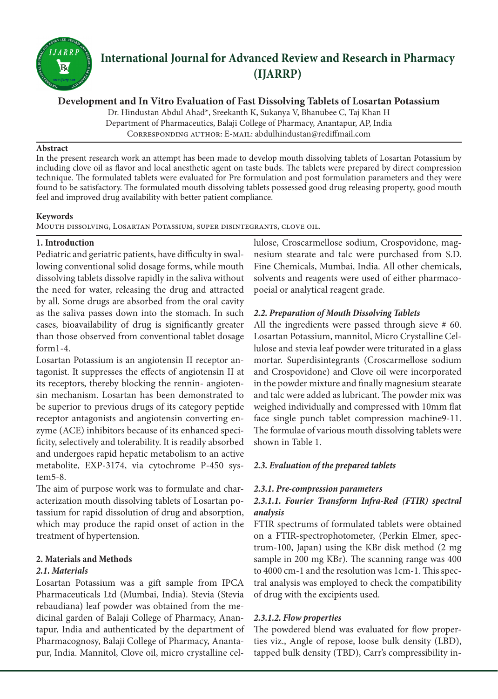

# **International Journal for Advanced Review and Research in Pharmacy (IJARRP)**

**Development and In Vitro Evaluation of Fast Dissolving Tablets of Losartan Potassium**

Dr. Hindustan Abdul Ahad\*, Sreekanth K, Sukanya V, Bhanubee C, Taj Khan H Department of Pharmaceutics, Balaji College of Pharmacy, Anantapur, AP, India Corresponding author: E-mail: abdulhindustan@rediffmail.com

#### **Abstract**

In the present research work an attempt has been made to develop mouth dissolving tablets of Losartan Potassium by including clove oil as flavor and local anesthetic agent on taste buds. The tablets were prepared by direct compression technique. The formulated tablets were evaluated for Pre formulation and post formulation parameters and they were found to be satisfactory. The formulated mouth dissolving tablets possessed good drug releasing property, good mouth feel and improved drug availability with better patient compliance.

#### **Keywords**

Mouth dissolving, Losartan Potassium, super disintegrants, clove oil.

### **1. Introduction**

Pediatric and geriatric patients, have difficulty in swallowing conventional solid dosage forms, while mouth dissolving tablets dissolve rapidly in the saliva without the need for water, releasing the drug and attracted by all. Some drugs are absorbed from the oral cavity as the saliva passes down into the stomach. In such cases, bioavailability of drug is significantly greater than those observed from conventional tablet dosage form1-4.

Losartan Potassium is an angiotensin II receptor antagonist. It suppresses the effects of angiotensin II at its receptors, thereby blocking the rennin‐ angiotensin mechanism. Losartan has been demonstrated to be superior to previous drugs of its category peptide receptor antagonists and angiotensin converting enzyme (ACE) inhibitors because of its enhanced specificity, selectively and tolerability. It is readily absorbed and undergoes rapid hepatic metabolism to an active metabolite, EXP‐3174, via cytochrome P‐450 system5-8.

The aim of purpose work was to formulate and characterization mouth dissolving tablets of Losartan potassium for rapid dissolution of drug and absorption, which may produce the rapid onset of action in the treatment of hypertension.

### **2. Materials and Methods**

### *2.1. Materials*

Losartan Potassium was a gift sample from IPCA Pharmaceuticals Ltd (Mumbai, India). Stevia (Stevia rebaudiana) leaf powder was obtained from the medicinal garden of Balaji College of Pharmacy, Anantapur, India and authenticated by the department of Pharmacognosy, Balaji College of Pharmacy, Anantapur, India. Mannitol, Clove oil, micro crystalline cellulose, Croscarmellose sodium, Crospovidone, magnesium stearate and talc were purchased from S.D. Fine Chemicals, Mumbai, India. All other chemicals, solvents and reagents were used of either pharmacopoeial or analytical reagent grade.

### *2.2. Preparation of Mouth Dissolving Tablets*

All the ingredients were passed through sieve # 60. Losartan Potassium, mannitol, Micro Crystalline Cellulose and stevia leaf powder were triturated in a glass mortar. Superdisintegrants (Croscarmellose sodium and Crospovidone) and Clove oil were incorporated in the powder mixture and finally magnesium stearate and talc were added as lubricant. The powder mix was weighed individually and compressed with 10mm flat face single punch tablet compression machine9-11. The formulae of various mouth dissolving tablets were shown in Table 1.

### *2.3. Evaluation of the prepared tablets*

### *2.3.1. Pre-compression parameters*

### *2.3.1.1. Fourier Transform Infra-Red (FTIR) spectral analysis*

FTIR spectrums of formulated tablets were obtained on a FTIR-spectrophotometer, (Perkin Elmer, spectrum-100, Japan) using the KBr disk method (2 mg sample in 200 mg KBr). The scanning range was 400 to 4000 cm-1 and the resolution was 1cm-1. This spectral analysis was employed to check the compatibility of drug with the excipients used.

### *2.3.1.2. Flow properties*

The powdered blend was evaluated for flow properties viz., Angle of repose, loose bulk density (LBD), tapped bulk density (TBD), Carr's compressibility in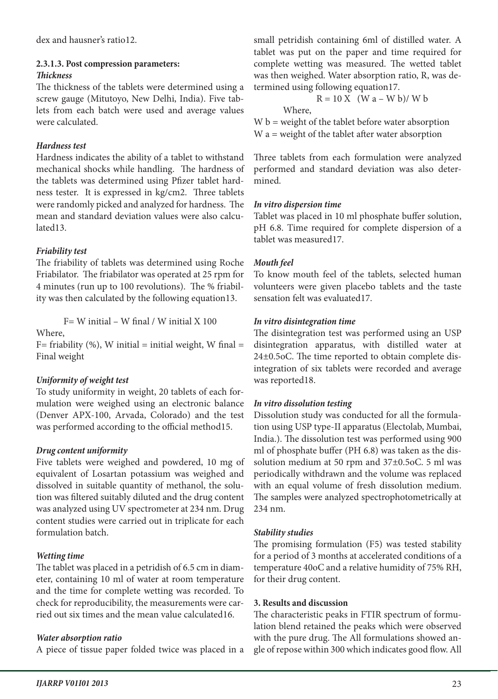dex and hausner's ratio12.

#### **2.3.1.3. Post compression parameters:** *Thickness*

The thickness of the tablets were determined using a screw gauge (Mitutoyo, New Delhi, India). Five tablets from each batch were used and average values were calculated.

### *Hardness test*

Hardness indicates the ability of a tablet to withstand mechanical shocks while handling. The hardness of the tablets was determined using Pfizer tablet hardness tester. It is expressed in kg/cm2. Three tablets were randomly picked and analyzed for hardness. The mean and standard deviation values were also calculated13.

### *Friability test*

The friability of tablets was determined using Roche Friabilator. The friabilator was operated at 25 rpm for 4 minutes (run up to 100 revolutions). The % friability was then calculated by the following equation13.

 $F= W$  initial – W final / W initial X 100 Where,

 $F=$  friability (%), W initial = initial weight, W final = Final weight

# *Uniformity of weight test*

To study uniformity in weight, 20 tablets of each formulation were weighed using an electronic balance (Denver APX-100, Arvada, Colorado) and the test was performed according to the official method15.

# *Drug content uniformity*

Five tablets were weighed and powdered, 10 mg of equivalent of Losartan potassium was weighed and dissolved in suitable quantity of methanol, the solution was filtered suitably diluted and the drug content was analyzed using UV spectrometer at 234 nm. Drug content studies were carried out in triplicate for each formulation batch.

# *Wetting time*

The tablet was placed in a petridish of 6.5 cm in diameter, containing 10 ml of water at room temperature and the time for complete wetting was recorded. To check for reproducibility, the measurements were carried out six times and the mean value calculated16.

# *Water absorption ratio*

A piece of tissue paper folded twice was placed in a

small petridish containing 6ml of distilled water. A tablet was put on the paper and time required for complete wetting was measured. The wetted tablet was then weighed. Water absorption ratio, R, was determined using following equation17.

$$
R = 10 \text{ X} \quad (\text{W a} - \text{W b}) / \text{ W b}
$$
  
Where.

 $W b$  = weight of the tablet before water absorption W a = weight of the tablet after water absorption

Three tablets from each formulation were analyzed performed and standard deviation was also determined.

### *In vitro dispersion time*

Tablet was placed in 10 ml phosphate buffer solution, pH 6.8. Time required for complete dispersion of a tablet was measured17.

# *Mouth feel*

To know mouth feel of the tablets, selected human volunteers were given placebo tablets and the taste sensation felt was evaluated17.

# *In vitro disintegration time*

The disintegration test was performed using an USP disintegration apparatus, with distilled water at 24±0.5oC. The time reported to obtain complete disintegration of six tablets were recorded and average was reported18.

### *In vitro dissolution testing*

Dissolution study was conducted for all the formulation using USP type-II apparatus (Electolab, Mumbai, India.). The dissolution test was performed using 900 ml of phosphate buffer (PH 6.8) was taken as the dissolution medium at 50 rpm and 37±0.5oC. 5 ml was periodically withdrawn and the volume was replaced with an equal volume of fresh dissolution medium. The samples were analyzed spectrophotometrically at 234 nm.

# *Stability studies*

The promising formulation (F5) was tested stability for a period of 3 months at accelerated conditions of a temperature 40oC and a relative humidity of 75% RH, for their drug content.

### **3. Results and discussion**

The characteristic peaks in FTIR spectrum of formulation blend retained the peaks which were observed with the pure drug. The All formulations showed angle of repose within 300 which indicates good flow. All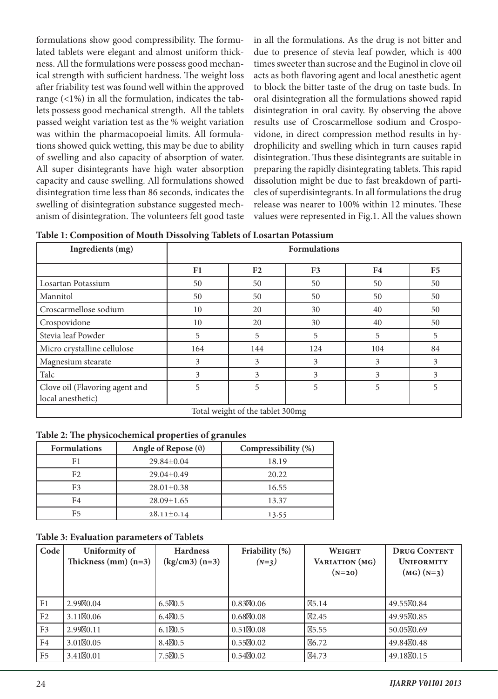formulations show good compressibility. The formulated tablets were elegant and almost uniform thickness. All the formulations were possess good mechanical strength with sufficient hardness. The weight loss after friability test was found well within the approved range  $($  <math>1\%</math>) in all the formulation, indicates the tablets possess good mechanical strength. All the tablets passed weight variation test as the % weight variation was within the pharmacopoeial limits. All formulations showed quick wetting, this may be due to ability of swelling and also capacity of absorption of water. All super disintegrants have high water absorption capacity and cause swelling. All formulations showed disintegration time less than 86 seconds, indicates the swelling of disintegration substance suggested mechanism of disintegration. The volunteers felt good taste in all the formulations. As the drug is not bitter and due to presence of stevia leaf powder, which is 400 times sweeter than sucrose and the Euginol in clove oil acts as both flavoring agent and local anesthetic agent to block the bitter taste of the drug on taste buds. In oral disintegration all the formulations showed rapid disintegration in oral cavity. By observing the above results use of Croscarmellose sodium and Crospovidone, in direct compression method results in hydrophilicity and swelling which in turn causes rapid disintegration. Thus these disintegrants are suitable in preparing the rapidly disintegrating tablets. This rapid dissolution might be due to fast breakdown of particles of superdisintegrants. In all formulations the drug release was nearer to 100% within 12 minutes. These values were represented in Fig.1. All the values shown

|  | Table 1: Composition of Mouth Dissolving Tablets of Losartan Potassium |
|--|------------------------------------------------------------------------|
|  |                                                                        |

| л.<br>Ingredients (mg)                              | ັ<br><b>Formulations</b> |                |                |     |                |
|-----------------------------------------------------|--------------------------|----------------|----------------|-----|----------------|
|                                                     | F1                       | F <sub>2</sub> | F <sub>3</sub> | F4  | F <sub>5</sub> |
| Losartan Potassium                                  | 50                       | 50             | 50             | 50  | 50             |
| Mannitol                                            | 50                       | 50             | 50             | 50  | 50             |
| Croscarmellose sodium                               | 10                       | 20             | 30             | 40  | 50             |
| Crospovidone                                        | 10                       | 20             | 30             | 40  | 50             |
| Stevia leaf Powder                                  | 5                        | 5              | 5              | 5   | 5              |
| Micro crystalline cellulose                         | 164                      | 144            | 124            | 104 | 84             |
| Magnesium stearate                                  | 3                        | 3              | 3              | 3   | 3              |
| Talc                                                | 3                        | 3              | 3              | 3   | 3              |
| Clove oil (Flavoring agent and<br>local anesthetic) | 5                        | 5              | 5              | 5   | 5              |
| Total weight of the tablet 300mg                    |                          |                |                |     |                |

#### **Table 2: The physicochemical properties of granules**

| <b>Formulations</b> | Angle of Repose $(0)$ | Compressibility (%) |  |
|---------------------|-----------------------|---------------------|--|
| F1                  | $29.84 \pm 0.04$      | 18.19               |  |
| F <sub>2</sub>      | $29.04 \pm 0.49$      | 20.22               |  |
| F <sub>3</sub>      | $28.01 \pm 0.38$      | 16.55               |  |
| F4                  | $28.09 \pm 1.65$      | 13.37               |  |
| F5                  | $28.11 \pm 0.14$      | 13.55               |  |

#### **Table 3: Evaluation parameters of Tablets**

| Code           | Uniformity of<br>Thickness $(nm)(n=3)$ | <b>Hardness</b><br>$(kg/cm3)$ (n=3) | Friability (%)<br>$(N=3)$ | <b>WEIGHT</b><br>VARIATION (MG)<br>$(N=20)$ | <b>DRUG CONTENT</b><br><b>UNIFORMITY</b><br>$(MG)$ (N=3) |
|----------------|----------------------------------------|-------------------------------------|---------------------------|---------------------------------------------|----------------------------------------------------------|
| F <sub>1</sub> | 2.99 0.04                              | 6.5 0.5                             | $0.83$ 0.06               | 5.14                                        | 49.55 0.84                                               |
| F2             | 3.11 0.06                              | 6.4 0.5                             | $0.68$ 0.08               | 2.45                                        | 49.95 0.85                                               |
| F <sub>3</sub> | 2.99 0.11                              | 6.1 0.5                             | $0.51$ 0.08               | 5.55                                        | 50.05 0.69                                               |
| F4             | 3.01 0.05                              | 8.4 0.5                             | $0.55$ 0.02               | 6.72                                        | 49.84 0.48                                               |
| F <sub>5</sub> | 3.41 0.01                              | 7.5 0.5                             | $0.54$ 0.02               | 4.73                                        | 49.18 0.15                                               |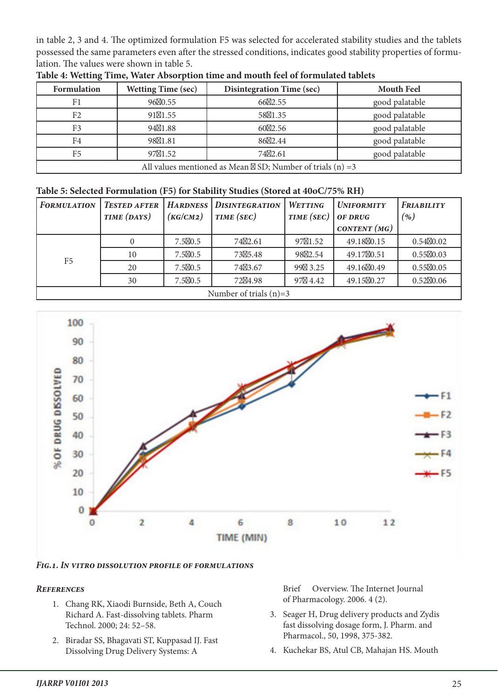in table 2, 3 and 4. The optimized formulation F5 was selected for accelerated stability studies and the tablets possessed the same parameters even after the stressed conditions, indicates good stability properties of formulation. The values were shown in table 5.

| Formulation    | <b>Wetting Time (sec)</b> | <b>Disintegration Time (sec)</b>                            | <b>Mouth Feel</b> |
|----------------|---------------------------|-------------------------------------------------------------|-------------------|
| F1             | 96 0.55                   | 66 2.55                                                     | good palatable    |
| F <sub>2</sub> | 91 1.55                   | 58 1.35                                                     | good palatable    |
| F <sub>3</sub> | 94 1.88                   | 60 2.56                                                     | good palatable    |
| F <sub>4</sub> | 98 1.81                   | 86 2.44                                                     | good palatable    |
| F <sub>5</sub> | 97 1.52                   | 74 2.61                                                     | good palatable    |
|                |                           | All values mentioned as Mean SD; Number of trials $(n) = 3$ |                   |

**Table 4: Wetting Time, Water Absorption time and mouth feel of formulated tablets**

#### **Table 5: Selected Formulation (F5) for Stability Studies (Stored at 40oC/75% RH)**

| <b>FORMULATION</b>       | <b>TESTED AFTER</b> |          | <b>HARDNESS</b> DISINTEGRATION | WETTING    | <b>UNIFORMITY</b> | <b>FRIABILITY</b> |
|--------------------------|---------------------|----------|--------------------------------|------------|-------------------|-------------------|
|                          | TIME (DAYS)         | (KG/CM2) | TIME (SEC)                     | TIME (SEC) | OF DRUG           | $(\%)$            |
|                          |                     |          |                                |            | CONTENT $(MG)$    |                   |
| F <sub>5</sub>           |                     | 7.5 0.5  | 74 2.61                        | 97 1.52    | 49.18 0.15        | 0.54 0.02         |
|                          | 10                  | 7.5 0.5  | 73 5.48                        | 98 2.54    | 49.17 0.51        | 0.55 0.03         |
|                          | 20                  | 7.5 0.5  | 74 3.67                        | 99 3.25    | 49.16 0.49        | 0.55 0.05         |
|                          | 30                  | 7.5 0.5  | 72 4.98                        | 4.42<br>97 | 49.15 0.27        | 0.52 0.06         |
| Number of trials $(n)=3$ |                     |          |                                |            |                   |                   |



*Fig.1. In vitro dissolution profile of formulations*

#### *References*

- 1. Chang RK, Xiaodi Burnside, Beth A, Couch Richard A. Fast-dissolving tablets. Pharm Technol. 2000; 24: 52–58.
- 2. Biradar SS, Bhagavati ST, Kuppasad IJ. Fast Dissolving Drug Delivery Systems: A

Brief Overview. The Internet Journal of Pharmacology. 2006. 4 (2).

- 3. Seager H, Drug delivery products and Zydis fast dissolving dosage form, J. Pharm. and Pharmacol., 50, 1998, 375-382.
- 4. Kuchekar BS, Atul CB, Mahajan HS. Mouth